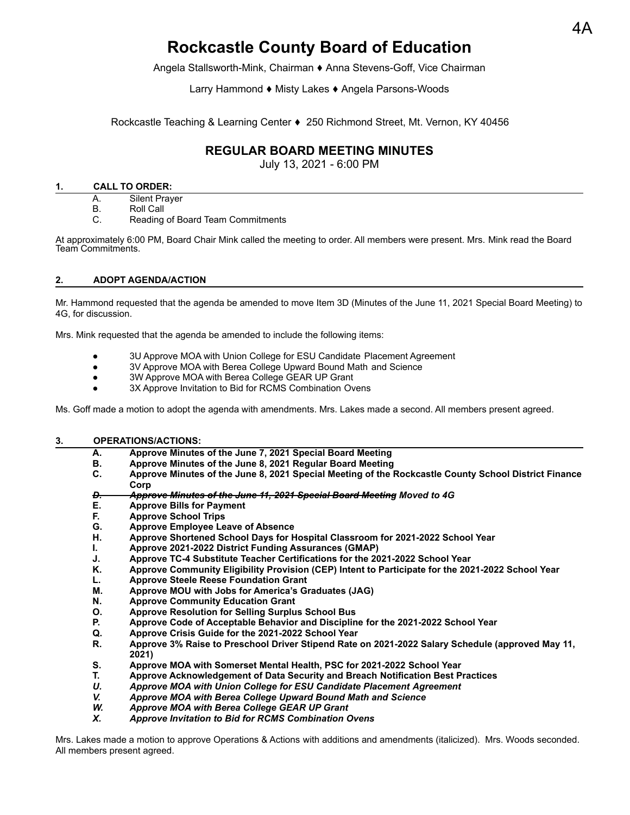# **Rockcastle County Board of Education**

Angela Stallsworth-Mink, Chairman ⬧ Anna Stevens-Goff, Vice Chairman

Larry Hammond ♦ Misty Lakes ♦ Angela Parsons-Woods

Rockcastle Teaching & Learning Center ♦ 250 Richmond Street, Mt. Vernon, KY 40456

# **REGULAR BOARD MEETING MINUTES**

July 13, 2021 - 6:00 PM

#### **1. CALL TO ORDER:**

- A. Silent Prayer
- B. Roll Call
- C. Reading of Board Team Commitments

At approximately 6:00 PM, Board Chair Mink called the meeting to order. All members were present. Mrs. Mink read the Board Team Commitments.

# **2. ADOPT AGENDA/ACTION**

Mr. Hammond requested that the agenda be amended to move Item 3D (Minutes of the June 11, 2021 Special Board Meeting) to 4G, for discussion.

Mrs. Mink requested that the agenda be amended to include the following items:

- 3U Approve MOA with Union College for ESU Candidate Placement Agreement
- 3V Approve MOA with Berea College Upward Bound Math and Science
- 3W Approve MOA with Berea College GEAR UP Grant
- 3X Approve Invitation to Bid for RCMS Combination Ovens

Ms. Goff made a motion to adopt the agenda with amendments. Mrs. Lakes made a second. All members present agreed.

# **3. OPERATIONS/ACTIONS:**

**A. Approve Minutes of the June 7, 2021 Special Board Meeting B. Approve Minutes of the June 8, 2021 Regular Board Meeting C. Approve Minutes of the June 8, 2021 Special Meeting of the Rockcastle County School District Finance Corp** *D. Approve Minutes of the June 11, 2021 Special Board Meeting Moved to 4G* **E. Approve Bills for Payment F. Approve School Trips G. Approve Employee Leave of Absence H. Approve Shortened School Days for Hospital Classroom for 2021-2022 School Year I. Approve 2021-2022 District Funding Assurances (GMAP) J. Approve TC-4 Substitute Teacher Certifications for the 2021-2022 School Year K. Approve Community Eligibility Provision (CEP) Intent to Participate for the 2021-2022 School Year L. Approve Steele Reese Foundation Grant M. Approve MOU with Jobs for America's Graduates (JAG) N. Approve Community Education Grant O. Approve Resolution for Selling Surplus School Bus P. Approve Code of Acceptable Behavior and Discipline for the 2021-2022 School Year Q. Approve Crisis Guide for the 2021-2022 School Year R. Approve 3% Raise to Preschool Driver Stipend Rate on 2021-2022 Salary Schedule (approved May 11, 2021) S. Approve MOA with Somerset Mental Health, PSC for 2021-2022 School Year T. Approve Acknowledgement of Data Security and Breach Notification Best Practices** *U. Approve MOA with Union College for ESU Candidate Placement Agreement V. Approve MOA with Berea College Upward Bound Math and Science W. Approve MOA with Berea College GEAR UP Grant X. Approve Invitation to Bid for RCMS Combination Ovens*

Mrs. Lakes made a motion to approve Operations & Actions with additions and amendments (italicized). Mrs. Woods seconded. All members present agreed.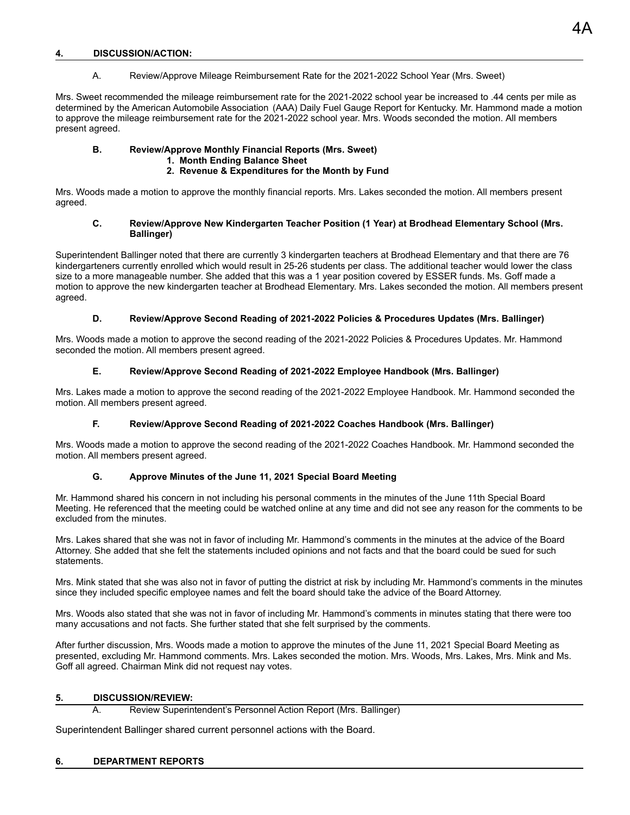#### **4. DISCUSSION/ACTION:**

A. Review/Approve Mileage Reimbursement Rate for the 2021-2022 School Year (Mrs. Sweet)

Mrs. Sweet recommended the mileage reimbursement rate for the 2021-2022 school year be increased to .44 cents per mile as determined by the American Automobile Association (AAA) Daily Fuel Gauge Report for Kentucky. Mr. Hammond made a motion to approve the mileage reimbursement rate for the 2021-2022 school year. Mrs. Woods seconded the motion. All members present agreed.

#### **B. Review/Approve Monthly Financial Reports (Mrs. Sweet) 1. Month Ending Balance Sheet**

#### **2. Revenue & Expenditures for the Month by Fund**

Mrs. Woods made a motion to approve the monthly financial reports. Mrs. Lakes seconded the motion. All members present agreed.

#### **C. Review/Approve New Kindergarten Teacher Position (1 Year) at Brodhead Elementary School (Mrs. Ballinger)**

Superintendent Ballinger noted that there are currently 3 kindergarten teachers at Brodhead Elementary and that there are 76 kindergarteners currently enrolled which would result in 25-26 students per class. The additional teacher would lower the class size to a more manageable number. She added that this was a 1 year position covered by ESSER funds. Ms. Goff made a motion to approve the new kindergarten teacher at Brodhead Elementary. Mrs. Lakes seconded the motion. All members present agreed.

#### **D. Review/Approve Second Reading of 2021-2022 Policies & Procedures Updates (Mrs. Ballinger)**

Mrs. Woods made a motion to approve the second reading of the 2021-2022 Policies & Procedures Updates. Mr. Hammond seconded the motion. All members present agreed.

#### **E. Review/Approve Second Reading of 2021-2022 Employee Handbook (Mrs. Ballinger)**

Mrs. Lakes made a motion to approve the second reading of the 2021-2022 Employee Handbook. Mr. Hammond seconded the motion. All members present agreed.

# **F. Review/Approve Second Reading of 2021-2022 Coaches Handbook (Mrs. Ballinger)**

Mrs. Woods made a motion to approve the second reading of the 2021-2022 Coaches Handbook. Mr. Hammond seconded the motion. All members present agreed.

# **G. Approve Minutes of the June 11, 2021 Special Board Meeting**

Mr. Hammond shared his concern in not including his personal comments in the minutes of the June 11th Special Board Meeting. He referenced that the meeting could be watched online at any time and did not see any reason for the comments to be excluded from the minutes.

Mrs. Lakes shared that she was not in favor of including Mr. Hammond's comments in the minutes at the advice of the Board Attorney. She added that she felt the statements included opinions and not facts and that the board could be sued for such statements.

Mrs. Mink stated that she was also not in favor of putting the district at risk by including Mr. Hammond's comments in the minutes since they included specific employee names and felt the board should take the advice of the Board Attorney.

Mrs. Woods also stated that she was not in favor of including Mr. Hammond's comments in minutes stating that there were too many accusations and not facts. She further stated that she felt surprised by the comments.

After further discussion, Mrs. Woods made a motion to approve the minutes of the June 11, 2021 Special Board Meeting as presented, excluding Mr. Hammond comments. Mrs. Lakes seconded the motion. Mrs. Woods, Mrs. Lakes, Mrs. Mink and Ms. Goff all agreed. Chairman Mink did not request nay votes.

#### **5. DISCUSSION/REVIEW:**

A. Review Superintendent's Personnel Action Report (Mrs. Ballinger)

Superintendent Ballinger shared current personnel actions with the Board.

# **6. DEPARTMENT REPORTS**